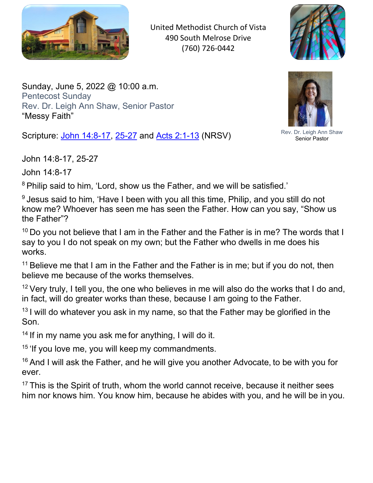

United Methodist Church of Vista 490 South Melrose Drive (760) 726-0442



<span id="page-0-0"></span>Sunday, June 5, 2022 @ 10:00 a.m. Pentecost Sunday Rev. Dr. Leigh Ann Shaw, Senior Pastor "Messy Faith"

Scripture: John 14:8-17, 25-27 and Acts 2:1-13 (NRSV)



John 14:8-17

<sup>8</sup> Philip said to him, 'Lord, show us the Father, and we will be satisfied.'

<sup>9</sup> Jesus said to him, 'Have I been with you all this time, Philip, and you still do not know me? Whoever has seen me has seen the Father. How can you say, "Show us the Father"?

 $10$  Do you not believe that I am in the Father and the Father is in me? The words that I say to you I do not speak on my own; but the Father who dwells in me does his works.

<sup>11</sup> Believe me that I am in the Father and the Father is in me; but if you do not, then believe me because of the works themselves.

 $12$  Very truly, I tell you, the one who believes in me will also do the works that I do and, in fact, will do greater works than these, because I am going to the Father.

 $13$  I will do whatever you ask in my name, so that the Father may be glorified in the Son.

<sup>14</sup> If in my name you ask me for anything, I will do it.

 $15$  'If you love me, you will keep my commandments.

 $16$  And I will ask the Father, and he will give you another Advocate, to be with you for ever.

 $17$  This is the Spirit of truth, whom the world cannot receive, because it neither sees him nor knows him. You know him, because he abides with you, and he will be in you.



Rev. Dr. Leigh Ann Shaw Senior Pastor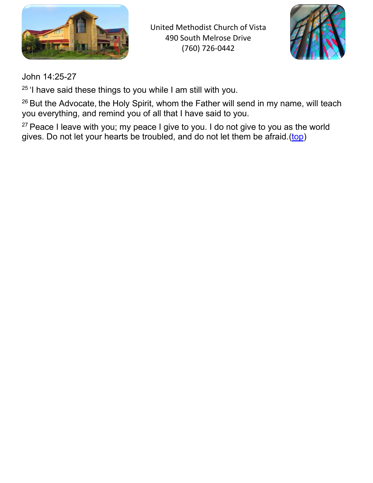

United Methodist Church of Vista 490 South Melrose Drive (760) 726-0442



John 14:25-27

 $25$  'I have said these things to you while I am still with you.

<sup>26</sup> But the Advocate, the Holy Spirit, whom the Father will send in my name, will teach you everything, and remind you of all that I have said to you.

 $27$  Peace I leave with you; my peace I give to you. I do not give to you as the world gives. Do not let your hearts be troubled, and do not let them be afraid.[\(top\)](#page-0-0)